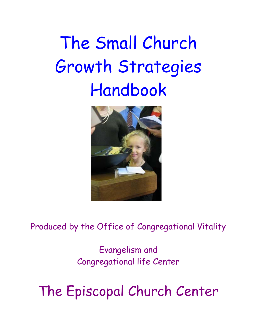# The Small Church Growth Strategies Handbook



Produced by the Office of Congregational Vitality

Evangelism and Congregational life Center

The Episcopal Church Center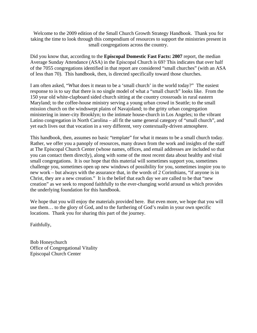Welcome to the 2009 edition of the Small Church Growth Strategy Handbook. Thank you for taking the time to look through this compendium of resources to support the ministries present in small congregations across the country.

Did you know that, according to the **Episcopal Domestic Fast Facts: 2007** report, the median Average Sunday Attendance (ASA) in the Episcopal Church is 69? This indicates that over half of the 7055 congregations identified in that report are considered "small churches" (with an ASA of less than 70). This handbook, then, is directed specifically toward those churches.

I am often asked, "What does it mean to be a 'small church' in the world today?" The easiest response to is to say that there is no single model of what a "small church" looks like. From the 150 year old white-clapboard sided church sitting at the country crossroads in rural eastern Maryland; to the coffee-house ministry serving a young urban crowd in Seattle; to the small mission church on the windswept plains of Navajoland; to the gritty urban congregation ministering in inner-city Brooklyn; to the intimate house-church in Los Angeles; to the vibrant Latino congregation in North Carolina – all fit the same general category of "small church", and yet each lives out that vocation in a very different, very contextually-driven atmosphere.

This handbook, then, assumes no basic "template" for what it means to be a small church today. Rather, we offer you a panoply of resources, many drawn from the work and insights of the staff at The Episcopal Church Center (whose names, offices, and email addresses are included so that you can contact them directly), along with some of the most recent data about healthy and vital small congregations. It is our hope that this material will sometimes support you, sometimes challenge you, sometimes open up new windows of possibility for you, sometimes inspire you to new work – but always with the assurance that, in the words of 2 Corinthians, "if anyone is in Christ, they are a new creation." It is the belief that each day we are called to be that "new creation" as we seek to respond faithfully to the ever-changing world around us which provides the underlying foundation for this handbook.

We hope that you will enjoy the materials provided here. But even more, we hope that you will use them… to the glory of God, and to the furthering of God's realm in your own specific locations. Thank you for sharing this part of the journey.

Faithfully,

Bob Honeychurch Office of Congregational Vitality Episcopal Church Center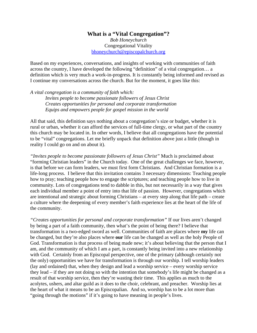# **What is a "Vital Congregation"?**

*Bob Honeychurch*  Congregational Vitality bhoneychurch@episcopalchurch.org

Based on my experiences, conversations, and insights of working with communities of faith across the country, I have developed the following "definition" of a vital congregation… a definition which is very much a work-in-progress. It is constantly being informed and revised as I continue my conversations across the church. But for the moment, it goes like this:

*A vital congregation is a community of faith which: Invites people to become passionate followers of Jesus Christ Creates opportunities for personal and corporate transformation Equips and empowers people for gospel mission in the world*

All that said, this definition says nothing about a congregation's size or budget, whether it is rural or urban, whether it can afford the services of full-time clergy, or what part of the country this church may be located in. In other words, I believe that all congregations have the potential to be "vital" congregations. Let me briefly unpack that definition above just a little (though in reality I could go on and on about it).

*"Invites people to become passionate followers of Jesus Christ"* Much is proclaimed about "forming Christian leaders" in the Church today. One of the great challenges we face, however, is that before we can form leaders, we must first form Christians. And Christian formation is a life-long process. I believe that this invitation contains 3 necessary dimensions: Teaching people how to pray; teaching people how to engage the scriptures; and teaching people how to live in community. Lots of congregations tend to dabble in this, but not necessarily in a way that gives each individual member a point of entry into that life of passion. However, congregations which are intentional and strategic about forming Christians – at every step along that life path – create a culture where the deepening of every member's faith experience lies at the heart of the life of the community.

*"Creates opportunities for personal and corporate transformation"* If our lives aren't changed by being a part of a faith community, then what's the point of being there? I believe that transformation is a two-edged sword as well. Communities of faith are places where **my** life can be changed, but they're also places where **our** life can be changed as well as the holy People of God. Transformation is that process of being made new; it's about believing that the person that I am, and the community of which I am a part, is constantly being invited into a new relationship with God. Certainly from an Episcopal perspective, one of the primary (although certainly not the only) opportunities we have for transformation is through our worship. I tell worship leaders (lay and ordained) that, when they design and lead a worship service – every worship service they lead – if they are not doing so with the intention that somebody's life might be changed as a result of that worship service, then they're wasting their time. This applies as much to the acolytes, ushers, and altar guild as it does to the choir, celebrant, and preacher. Worship lies at the heart of what it means to be an Episcopalian. And so, worship has to be a lot more than "going through the motions" if it's going to have meaning in people's lives.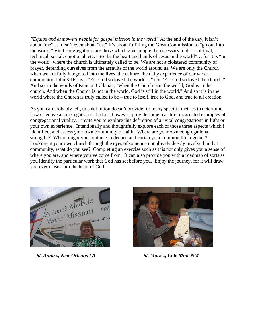*"Equips and empowers people for gospel mission in the world"* At the end of the day, it isn't about "me"… it isn't even about "us." It's about fulfilling the Great Commission to "go out into the world." Vital congregations are those which give people the necessary tools – spiritual, technical, social, emotional, etc. – to 'be the heart and hands of Jesus in the world"… for it is "in the world" where the church is ultimately called to be. We are not a cloistered community of prayer, defending ourselves from the assaults of the world around us. We are only the Church when we are fully integrated into the lives, the culture, the daily experience of our wider community. John 3:16 says, "For God so loved the world…" not "For God so loved the church." And so, in the words of Kennon Callahan, "when the Church is in the world, God is in the church. And when the Church is not in the world, God is still in the world." And so it is in the world where the Church is truly called to be – true to itself, true to God, and true to all creation.

As you can probably tell, this definition doesn't provide for many specific metrics to determine how effective a congregation is. It does, however, provide some real-life, incarnated examples of congregational vitality. I invite you to explore this definition of a "vital congregation" in light or your own experience. Intentionally and thoughtfully explore each of those three aspects which I identified, and assess your own community of faith. Where are your own congregational strengths? Where might you continue to deepen and enrich your common life together? Looking at your own church through the eyes of someone not already deeply involved in that community, what do you see? Completing an exercise such as this not only gives you a sense of where you are, and where you've come from. It can also provide you with a roadmap of sorts as you identify the particular work that God has set before you. Enjoy the journey, for it will draw you ever closer into the heart of God.



 *St. Anna's, New Orleans LA St. Mark's, Cole Mine NM*

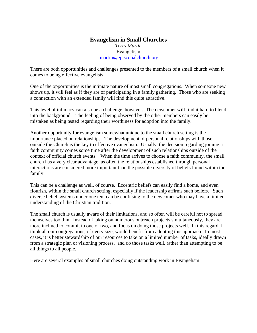#### **Evangelism in Small Churches**  *Terry Martin*  Evangelism tmartin@episcopalchurch.org

There are both opportunities and challenges presented to the members of a small church when it comes to being effective evangelists.

One of the opportunities is the intimate nature of most small congregations. When someone new shows up, it will feel as if they are of participating in a family gathering. Those who are seeking a connection with an extended family will find this quite attractive.

This level of intimacy can also be a challenge, however. The newcomer will find it hard to blend into the background. The feeling of being observed by the other members can easily be mistaken as being tested regarding their worthiness for adoption into the family.

Another opportunity for evangelism somewhat unique to the small church setting is the importance placed on relationships. The development of personal relationships with those outside the Church is the key to effective evangelism. Usually, the decision regarding joining a faith community comes some time after the development of such relationships outside of the context of official church events. When the time arrives to choose a faith community, the small church has a very clear advantage, as often the relationships established through personal interactions are considered more important than the possible diversity of beliefs found within the family.

This can be a challenge as well, of course. Eccentric beliefs can easily find a home, and even flourish, within the small church setting, especially if the leadership affirms such beliefs. Such diverse belief systems under one tent can be confusing to the newcomer who may have a limited understanding of the Christian tradition.

The small church is usually aware of their limitations, and so often will be careful not to spread themselves too thin. Instead of taking on numerous outreach projects simultaneously, they are more inclined to commit to one or two, and focus on doing those projects well. In this regard, I think all our congregations, of every size, would benefit from adopting this approach. In most cases, it is better stewardship of our resources to take on a limited number of tasks, ideally drawn from a strategic plan or visioning process, and do those tasks well, rather than attempting to be all things to all people.

Here are several examples of small churches doing outstanding work in Evangelism: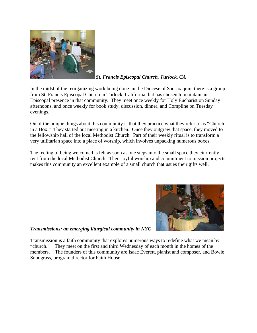

*St. Francis Episcopal Church, Turlock, CA*

In the midst of the reorganizing work being done in the Diocese of San Joaquin, there is a group from St. Francis Episcopal Church in Turlock, California that has chosen to maintain an Episcopal presence in that community. They meet once weekly for Holy Eucharist on Sunday afternoons, and once weekly for book study, discussion, dinner, and Compline on Tuesday evenings.

On of the unique things about this community is that they practice what they refer to as "Church in a Box." They started out meeting in a kitchen. Once they outgrew that space, they moved to the fellowship hall of the local Methodist Church. Part of their weekly ritual is to transform a very utilitarian space into a place of worship, which involves unpacking numerous boxes

The feeling of being welcomed is felt as soon as one steps into the small space they ciurrently rent from the local Methodist Church. Their joyful worship and commitment to mission projects makes this community an excellent example of a small church that usues their gifts well.



*Transmissions: an emerging liturgical community in NYC*

Transmission is a faith community that explores numerous ways to redefine what we mean by "church." They meet on the first and third Wednesday of each month in the homes of the members. The founders of this community are Isaac Everett, pianist and composer, and Bowie Snodgrass, program director for Faith House.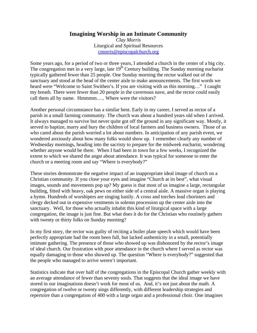### **Imagining Worship in an Intimate Community**

*Clay Morris*  Liturgical and Spiritual Resources cmorris@episcopalchurch.org

Some years ago, for a period of two or three years, I attended a church in the center of a big city. The congregation met in a very large, late 19<sup>th</sup> Century building. The Sunday morning eucharist typically gathered fewer than 25 people. One Sunday morning the rector walked out of the sanctuary and stood at the head of the center aisle to make announcements. The first words we heard were "Welcome to Saint Swithen's. If you are visiting with us this morning…" I caught my breath. There were fewer than 20 people in the cavernous nave, and the rector could easily call them all by name. Hmmmm….. Where were the visitors?

Another personal circumstance has a similar bent. Early in my career, I served as rector of a parish in a small farming community. The church was about a hundred years old when I arrived. It always managed to survive but never quite got off the ground in any significant way. Mostly, it served to baptize, marry and bury the children of local farmers and business owners. Those of us who cared about the parish worried a lot about numbers. In anticipation of any parish event, we wondered anxiously about how many folks would show up. I remember clearly any number of Wednesday mornings, heading into the sacristy to prepare for the midweek eucharist, wondering whether anyone would be there. When I had been in town for a few weeks, I recognized the extent to which we shared the angst about attendance. It was typical for someone to enter the church or a meeting room and say "Where is everybody?"

These stories demonstrate the negative impact of an inappropriate ideal image of church on a Christian community. If you close your eyes and imagine "Church at its best", what visual images, sounds and movements pop up? My guess is that most of us imagine a large, rectangular building, fitted with heavy, oak pews on either side of a central aisle. A massive organ is playing a hymn. Hundreds of worshipers are singing lustily. A cross and torches lead choristers and clergy decked out in expensive vestments in solemn procession up the center aisle into the sanctuary. Well, for those who actually inhabit this kind of liturgical space with a large congregation, the image is just fine. But what does it do for the Christian who routinely gathers with twenty or thirty folks on Sunday morning?

In my first story, the rector was guilty of reciting a boiler plate speech which would have been perfectly appropriate had the room been full, but lacked authenticity in a small, potentially intimate gathering. The presence of those who showed up was dishonored by the rector's image of ideal church. Our frustration with poor attendance in the church where I served as rector was equally damaging to those who showed up. The question "Where is everybody?" suggested that the people who managed to arrive weren't important.

Statistics indicate that over half of the congregations in the Episcopal Church gather weekly with an average attendance of fewer than seventy souls. That suggests that the ideal image we have stored in our imaginations doesn't work for most of us. And, it's not just about the math. A congregation of twelve or twenty sings differently, with different leadership strategies and repertoire than a congregation of 400 with a large organ and a professional choir. One imagines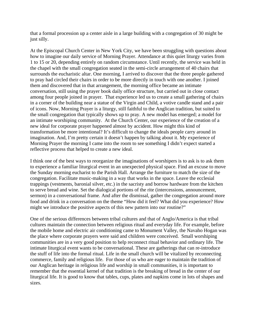that a formal procession up a center aisle in a large building with a congregation of 30 might be just silly.

At the Episcopal Church Center in New York City, we have been struggling with questions about how to imagine our daily service of Morning Prayer. Attendance at this quiet liturgy varies from 1 to 15 or 20, depending entirely on random circumstance. Until recently, the service was held in the chapel with the small congregation seated in the semi-circle arrangement of 40 chairs that surrounds the eucharistic altar. One morning, I arrived to discover that the three people gathered to pray had circled their chairs in order to be more directly in touch with one another. I joined them and discovered that in that arrangement, the morning office became an intimate conversation, still using the prayer book daily office structure, but carried out in close contact among four people joined in prayer. That experience led us to create a small gathering of chairs in a corner of the building near a statue of the Virgin and Child, a votive candle stand and a pair of icons. Now, Morning Prayer is a liturgy, still faithful to the Anglican tradition, but suited to the small congregation that typically shows up to pray. A new model has emerged; a model for an intimate worshiping community. At the Church Center, our experience of the creation of a new ideal for corporate prayer happened almost by accident. How might this kind of transformation be more intentional? It's difficult to change the ideals people carry around in imagination. And, I'm pretty certain it doesn't happen by talking about it. My experience of Morning Prayer the morning I came into the room to see something I didn't expect started a reflective process that helped to create a new ideal.

I think one of the best ways to reorganize the imaginations of worshipers is to ask is to ask them to experience a familiar liturgical event in an unexpected physical space. Find an excuse to move the Sunday morning eucharist to the Parish Hall. Arrange the furniture to match the size of the congregation. Facilitate music-making in a way that works in the space. Leave the ecclesial trappings (vestments, baronial silver, etc.) in the sacristy and borrow hardware from the kitchen to serve bread and wine. Set the dialogical portions of the rite (intercessions, announcement, sermon) in a conversational frame. And after the dismissal, gather the congregation around more food and drink in a conversation on the theme "How did it feel? What did you experience? How might we introduce the positive aspects of this new pattern into our routine?"

One of the serious differences between tribal cultures and that of Anglo/America is that tribal cultures maintain the connection between religious ritual and everyday life. For example, before the mobile home and electric air conditioning came to Monument Valley, the Navaho Hogan was the place where corporate prayers were said and children were conceived. Small worshiping communities are in a very good position to help reconnect ritual behavior and ordinary life. The intimate liturgical event wants to be conversational. These are gatherings that can re-introduce the stuff of life into the formal ritual. Life in the small church will be vitalized by reconnecting commerce, family and religious life. For those of us who are eager to maintain the tradition of our Anglican heritage in religious life and worship in small communities, it is important to remember that the essential kernel of that tradition is the breaking of bread in the center of our liturgical life. It is good to know that tables, cups, plates and napkins come in lots of shapes and sizes.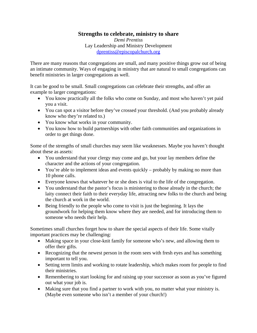## **Strengths to celebrate, ministry to share**

*Demi Prentiss*  Lay Leadership and Ministry Development dprentiss@episcopalchurch.org

There are many reasons that congregations are small, and many positive things grow out of being an intimate community. Ways of engaging in ministry that are natural to small congregations can benefit ministries in larger congregations as well.

It can be good to be small. Small congregations can celebrate their strengths, and offer an example to larger congregations:

- You know practically all the folks who come on Sunday, and most who haven't yet paid you a visit.
- You can spot a visitor before they've crossed your threshold. (And you probably already know who they're related to.)
- You know what works in your community.
- You know how to build partnerships with other faith communities and organizations in order to get things done.

Some of the strengths of small churches may seem like weaknesses. Maybe you haven't thought about these as assets:

- You understand that your clergy may come and go, but your lay members define the character and the actions of your congregation.
- You're able to implement ideas and events quickly probably by making no more than 10 phone calls.
- Everyone knows that whatever he or she does is vital to the life of the congregation.
- You understand that the pastor's focus is ministering to those already in the church; the laity connect their faith to their everyday life, attracting new folks to the church and being the church at work in the world.
- Being friendly to the people who come to visit is just the beginning. It lays the groundwork for helping them know where they are needed, and for introducing them to someone who needs their help.

Sometimes small churches forget how to share the special aspects of their life. Some vitally important practices may be challenging:

- Making space in your close-knit family for someone who's new, and allowing them to offer their gifts.
- Recognizing that the newest person in the room sees with fresh eyes and has something important to tell you.
- Setting term limits and working to rotate leadership, which makes room for people to find their ministries.
- Remembering to start looking for and raising up your successor as soon as you've figured out what your job is.
- Making sure that you find a partner to work with you, no matter what your ministry is. (Maybe even someone who isn't a member of your church!)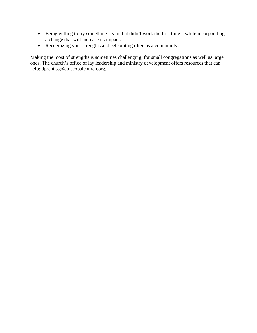- Being willing to try something again that didn't work the first time while incorporating a change that will increase its impact.
- Recognizing your strengths and celebrating often as a community.

Making the most of strengths is sometimes challenging, for small congregations as well as large ones. The church's office of lay leadership and ministry development offers resources that can help: dprentiss@episcopalchurch.org.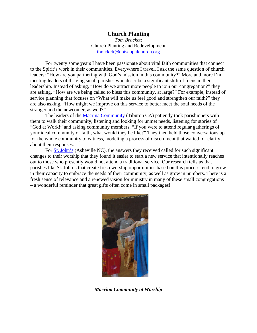#### **Church Planting**

*Tom Brackett*  Church Planting and Redevelopment tbrackett@episcopalchurch.org

For twenty some years I have been passionate about vital faith communities that connect to the Spirit's work in their communities. Everywhere I travel, I ask the same question of church leaders: "How are you partnering with God's mission in this community?" More and more I'm meeting leaders of thriving small parishes who describe a significant shift of focus in their leadership. Instead of asking, "How do we attract more people to join our congregation?" they are asking, "How are we being called to bless this community, at large?" For example, instead of service planning that focuses on "What will make us feel good and strengthen our faith?" they are also asking, "How might we improve on this service to better meet the soul needs of the stranger and the newcomer, as well?"

The leaders of the Macrina Community (Tiburon CA) patiently took parishioners with them to walk their community, listening and looking for unmet needs, listening for stories of "God at Work!" and asking community members, "If you were to attend regular gatherings of your ideal community of faith, what would they be like?" They then held those conversations up for the whole community to witness, modeling a process of discernment that waited for clarity about their responses.

For **St. John's** (Asheville NC), the answers they received called for such significant changes to their worship that they found it easier to start a new service that intentionally reaches out to those who presently would not attend a traditional service. Our research tells us that parishes like St. John's that create fresh worship opportunities based on this process tend to grow in their capacity to embrace the needs of their community, as well as grow in numbers. There is a fresh sense of relevance and a renewed vision for ministry in many of these small congregations – a wonderful reminder that great gifts often come in small packages!



*Macrina Community at Worship*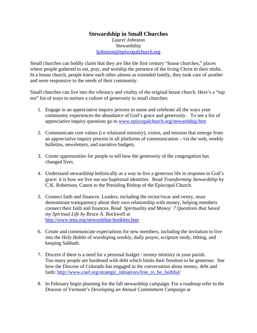#### **Stewardship in Small Churches**  *Laurel Johnston*  Stewardship ljohnston@episcopalchurch.org

Small churches can boldly claim that they are like the first century "house churches," places where people gathered to eat, pray, and worship the presence of the living Christ in their midst. In a house church, people knew each other almost as extended family, they took care of another and were responsive to the needs of their community.

Small churches can live into the vibrancy and vitality of the original house church. Here's a "top ten" list of ways to nurture a culture of generosity in small churches:

- 1. Engage in an appreciative inquiry process to name and celebrate all the ways your community experiences the abundance of God's grace and generosity. To see a list of appreciative inquiry questions go to www.episcopalchurch.org/stewardship.htm
- 2. Communicate core values (i.e relational ministry), vision, and mission that emerge from an appreciative inquiry process in all platforms of communication – via the web, weekly bulletins, newsletters, and narrative budgets.
- 3. Create opportunities for people to tell how the generosity of the congregation has changed lives.
- 4. Understand stewardship holistically as a way to live a generous life in response to God's grace: it is how we live out our baptismal identities. Read *Transforming Stewardship* by C.K. Robertson, Canon to the Presiding Bishop of the Episcopal Church.
- *5.* Connect faith and finances. Leaders, including the rector/vicar and vestry, must demonstrate transparency about their own relationship with money, helping members connect their faith and finances. Read *Spirituality and Money: 7 Questions that Saved my Spiritual Life by* Bruce A. Rockwell at http://www.tens.org/stewardship-booklets.htm
- 6. Create and communicate expectations for new members, including the invitation to live into the *Holy Habits* of worshiping weekly, daily prayer, scripture study, tithing, and keeping Sabbath.
- 7. Discern if there is a need for a personal budget / money ministry in your parish. Too many people are burdened with debt which limits their freedom to be generous. See how the Diocese of Colorado has engaged in the conversation about money, debt and faith: http://www.coef.org/strategic\_initiatives/free\_to\_be\_faithful/
- 8. In February begin planning for the fall stewardship campaign. For a roadmap refer to the Diocese of Vermont's *Developing an Annual Commitment Campaign* at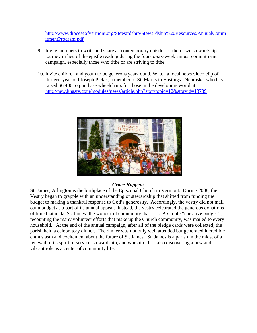http://www.dioceseofvermont.org/Stewardship/Stewardship%20Resources/AnnualComm itmentProgram.pdf

- 9. Invite members to write and share a "contemporary epistle" of their own stewardship journey in lieu of the epistle reading during the four-to-six-week annual commitment campaign, especially those who tithe or are striving to tithe.
- 10. Invite children and youth to be generous year-round. Watch a local news video clip of thirteen-year-old Joseph Picket, a member of St. Marks in Hastings , Nebraska, who has raised \$6,400 to purchase wheelchairs for those in the developing world at http://new.khastv.com/modules/news/article.php?storytopic=12&storyid=13739



#### *Grace Happens*

St. James, Arlington is the birthplace of the Episcopal Church in Vermont. During 2008, the Vestry began to grapple with an understanding of stewardship that shifted from funding the budget to making a thankful response to God's generosity. Accordingly, the vestry did not mail out a budget as a part of its annual appeal. Instead, the vestry celebrated the generous donations of time that make St. James' the wonderful community that it is. A simple "narrative budget" , recounting the many volunteer efforts that make up the Church community, was mailed to every household. At the end of the annual campaign, after all of the pledge cards were collected, the parish held a celebratory dinner. The dinner was not only well attended but generated incredible enthusiasm and excitement about the future of St. James. St. James is a parish in the midst of a renewal of its spirit of service, stewardship, and worship. It is also discovering a new and vibrant role as a center of community life.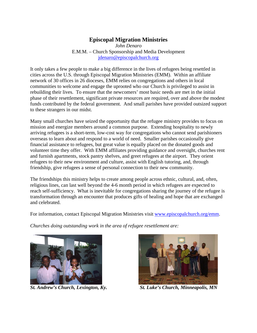## **Episcopal Migration Ministries**

*John Denaro*  E.M.M. – Church Sponsorship and Media Development jdenaro@episcopalchurch.org

It only takes a few people to make a big difference in the lives of refugees being resettled in cities across the U.S. through Episcopal Migration Ministries (EMM). Within an affiliate network of 30 offices in 26 dioceses, EMM relies on congregations and others in local communities to welcome and engage the uprooted who our Church is privileged to assist in rebuilding their lives. To ensure that the newcomers' most basic needs are met in the initial phase of their resettlement, significant private resources are required, over and above the modest funds contributed by the federal government. And small parishes have provided outsized support to these strangers in our midst.

Many small churches have seized the opportunity that the refugee ministry provides to focus on mission and energize members around a common purpose. Extending hospitality to newly arriving refugees is a short-term, low-cost way for congregations who cannot send parishioners overseas to learn about and respond to a world of need. Smaller parishes occasionally give financial assistance to refugees, but great value is equally placed on the donated goods and volunteer time they offer. With EMM affiliates providing guidance and oversight, churches rent and furnish apartments, stock pantry shelves, and greet refugees at the airport. They orient refugees to their new environment and culture, assist with English tutoring, and, through friendship, give refugees a sense of personal connection to their new community.

The friendships this ministry helps to create among people across ethnic, cultural, and, often, religious lines, can last well beyond the 4-6 month period in which refugees are expected to reach self-sufficiency. What is inevitable for congregations sharing the journey of the refugee is transformation through an encounter that produces gifts of healing and hope that are exchanged and celebrated.

For information, contact Episcopal Migration Ministries visit www.episcopalchurch.org/emm.

*Churches doing outstanding work in the area of refugee resettlement are:* 



 *St. Andrew's Church, Lexington, Ky. St. Luke's Church, Minneapolis, MN* 

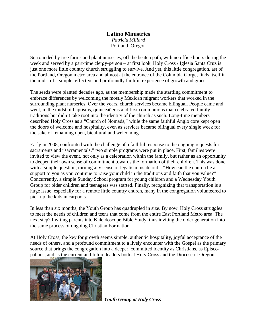## **Latino Ministries** *Patricia Millard*  Portland, Oregon

Surrounded by tree farms and plant nurseries, off the beaten path, with no office hours during the week and served by a part-time clergy-person – at first look, Holy Cross / Iglesia Santa Cruz is just one more little country church struggling to survive. And yet, this little congregation, ast of the Portland, Oregon metro area and almost at the entrance of the Columbia Gorge, finds itself in the midst of a simple, effective and profoundly faithful experience of growth and grace.

The seeds were planted decades ago, as the membership made the startling commitment to embrace differences by welcoming the mostly Mexican migrant workers that worked in the surrounding plant nurseries. Over the years, church services became bilingual. People came and went, in the midst of baptisms, quinceañeras and first communions that celebrated family traditions but didn't take root into the identity of the church as such. Long-time members described Holy Cross as a "Church of Nomads," while the same faithful Anglo core kept open the doors of welcome and hospitality, even as services became bilingual every single week for the sake of remaining open, bicultural and welcoming.

Early in 2008, confronted with the challenge of a faithful response to the ongoing requests for sacraments and "sacramentals," two simple programs were put in place. First, families were invited to view the event, not only as a celebration within the family, but rather as an opportunity to deepen their own sense of commitment towards the formation of their children. This was done with a simple question, turning any sense of legalism inside out – "How can the church be a support to you as you continue to raise your child in the traditions and faith that you value?" Concurrently, a simple Sunday School program for young children and a Wednesday Youth Group for older children and teenagers was started. Finally, recognizing that transportation is a huge issue, especially for a remote little country church, many in the congregation volunteered to pick up the kids in carpools.

In less than six months, the Youth Group has quadrupled in size. By now, Holy Cross struggles to meet the needs of children and teens that come from the entire East Portland Metro area. The next step? Inviting parents into Kaleidoscope Bible Study, thus inviting the older generation into the same process of ongoing Christian Formation.

At Holy Cross, the key for growth seems simple: authentic hospitality, joyful acceptance of the needs of others, and a profound commitment to a lively encounter with the Gospel as the primary source that brings the congregation into a deeper, committed identity as Christians, as Episcopalians, and as the current and future leaders both at Holy Cross and the Diocese of Oregon.



*Youth Group at Holy Cross*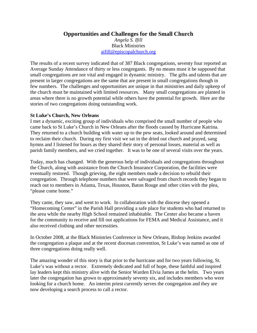**Opportunities and Challenges for the Small Church**

*Angela S. Ifill*  Black Ministries aifill@episcopalchurch.org

The results of a recent survey indicated that of 387 Black congregations, seventy four reported an Average Sunday Attendance of thirty or less congregants. By no means must it be supposed that small congregations are not vital and engaged in dynamic ministry. The gifts and talents that are present in larger congregations are the same that are present in small congregations though in few numbers. The challenges and opportunities are unique in that ministries and daily upkeep of the church must be maintained with limited resources. Many small congregations are planted in areas where there is no growth potential while others have the potential for growth. Here are the stories of two congregations doing outstanding work.

#### **St Luke's Church, New Orleans**

I met a dynamic, exciting group of individuals who comprised the small number of people who came back to St Luke's Church in New Orleans after the floods caused by Hurricane Katrina. They returned to a church building with water up to the pew seats, looked around and determined to reclaim their church. During my first visit we sat in the dried out church and prayed, sang hymns and I listened for hours as they shared their story of personal losses, material as well as parish family members, and we cried together. It was to be one of several visits over the years.

Today, much has changed. With the generous help of individuals and congregations throughout the Church, along with assistance from the Church Insurance Corporation, the facilities were eventually restored. Though grieving, the eight members made a decision to rebuild their congregation. Through telephone numbers that were salvaged from church records they began to reach out to members in Atlanta, Texas, Houston, Baton Rouge and other cities with the plea, "please come home."

They came, they saw, and went to work. In collaboration with the diocese they opened a "Homecoming Center" in the Parish Hall providing a safe place for students who had returned to the area while the nearby High School remained inhabitable. The Center also became a haven for the community to receive and fill out applications for FEMA and Medical Assistance, and it also received clothing and other necessities.

In October 2008, at the Black Ministries Conference in New Orleans, Bishop Jenkins awarded the congregation a plaque and at the recent diocesan convention, St Luke's was named as one of three congregations doing really well.

The amazing wonder of this story is that prior to the hurricane and for two years following, St. Luke's was without a rector. Extremely dedicated and full of hope, these faithful and inspired lay leaders kept this ministry alive with the Senior Warden Elvia James at the helm. Two years later the congregation has grown to approximately seventy six, and includes members who were looking for a church home. An interim priest currently serves the congregation and they are now developing a search process to call a rector.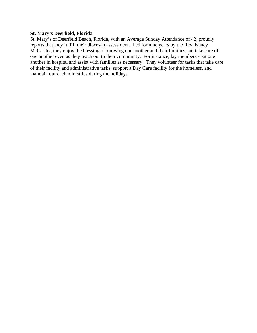#### **St. Mary's Deerfield, Florida**

St. Mary's of Deerfield Beach, Florida, with an Average Sunday Attendance of 42, proudly reports that they fulfill their diocesan assessment. Led for nine years by the Rev. Nancy McCarthy, they enjoy the blessing of knowing one another and their families and take care of one another even as they reach out to their community. For instance, lay members visit one another in hospital and assist with families as necessary. They volunteer for tasks that take care of their facility and administrative tasks, support a Day Care facility for the homeless, and maintain outreach ministries during the holidays.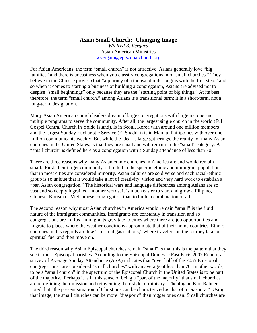## **Asian Small Church: Changing Image**

*Winfred B. Vergara*  Asian American Ministries wvergara@episcopalchurch.org

For Asian Americans, the term "small church" is not attractive. Asians generally love "big families" and there is uneasiness when you classify congregations into "small churches." They believe in the Chinese proverb that "a journey of a thousand miles begins with the first step," and so when it comes to starting a business or building a congregation, Asians are advised not to despise "small beginnings" only because they are the "starting point of big things." At its best therefore, the term "small church," among Asians is a transitional term; it is a short-term, not a long-term, designation.

Many Asian American church leaders dream of large congregations with large income and multiple programs to serve the community. After all, the largest single church in the world (Full Gospel Central Church in Yoido Island), is in Seoul, Korea with around one million members and the largest Sunday Eucharistic Service (El Shaddai) is in Manila, Philippines with over one million communicants weekly. But while the ideal is large gatherings, the reality for many Asian churches in the United States, is that they are small and will remain in the "small" category. A "small church" is defined here as a congregation with a Sunday attendance of less than 70.

There are three reasons why many Asian ethnic churches in America are and would remain small. First, their target community is limited to the specific ethnic and immigrant populations that in most cities are considered minority. Asian cultures are so diverse and each racial-ethnic group is so unique that it would take a lot of creativity, vision and very hard work to establish a "pan Asian congregation." The historical wars and language differences among Asians are so vast and so deeply ingrained. In other words, it is much easier to start and grow a Filipino, Chinese, Korean or Vietnamese congregation than to build a combination of all.

The second reason why most Asian churches in America would remain "small" is the fluid nature of the immigrant communities. Immigrants are constantly in transition and so congregations are in flux. Immigrants gravitate to cities where there are job opportunities and migrate to places where the weather conditions approximate that of their home countries. Ethnic churches in this regards are like "spiritual gas stations," where travelers on the journey take on spiritual fuel and then move on.

The third reason why Asian Episcopal churches remain "small" is that this is the pattern that they see in most Episcopal parishes. According to the Episcopal Domestic Fast Facts 2007 Report, a survey of Average Sunday Attendance (ASA) indicates that "over half of the 7055 Episcopal congregations" are considered "small churches" with an average of less than 70. In other words, to be a "small church" in the spectrum of the Episcopal Church in the United States is to be part of the majority. Perhaps it is in this sense of being a "part of the majority" that small churches are re-defining their mission and reinventing their style of ministry. Theologian Karl Rahner noted that "the present situation of Christians can be characterized as that of a Diaspora." Using that image, the small churches can be more "diasporic" than bigger ones can. Small churches are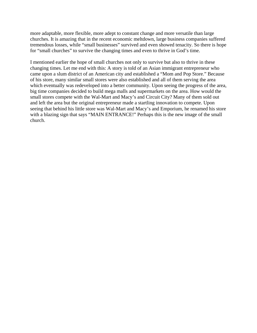more adaptable, more flexible, more adept to constant change and more versatile than large churches. It is amazing that in the recent economic meltdown, large business companies suffered tremendous losses, while "small businesses" survived and even showed tenacity. So there is hope for "small churches" to survive the changing times and even to thrive in God's time.

I mentioned earlier the hope of small churches not only to survive but also to thrive in these changing times. Let me end with this: A story is told of an Asian immigrant entrepreneur who came upon a slum district of an American city and established a "Mom and Pop Store." Because of his store, many similar small stores were also established and all of them serving the area which eventually was redeveloped into a better community. Upon seeing the progress of the area, big time companies decided to build mega malls and supermarkets on the area. How would the small stores compete with the Wal-Mart and Macy's and Circuit City? Many of them sold out and left the area but the original entrepreneur made a startling innovation to compete. Upon seeing that behind his little store was Wal-Mart and Macy's and Emporium, he renamed his store with a blazing sign that says "MAIN ENTRANCE!" Perhaps this is the new image of the small church.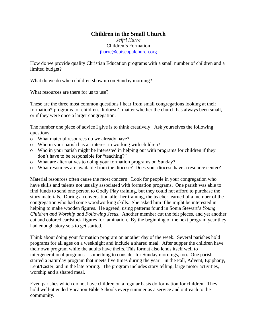## **Children in the Small Church**

*Jeffri Harre*  Children's Formation jharre@episcopalchurch.org

How do we provide quality Christian Education programs with a small number of children and a limited budget?

What do we do when children show up on Sunday morning?

What resources are there for us to use?

These are the three most common questions I hear from small congregations looking at their formation\* programs for children. It doesn't matter whether the church has always been small, or if they were once a larger congregation.

The number one piece of advice I give is to think creatively. Ask yourselves the following questions:

- o What material resources do we already have?
- o Who in your parish has an interest in working with children?
- o Who in your parish might be interested in helping out with programs for children if they don't have to be responsible for "teaching?"
- o What are alternatives to doing your formation programs on Sunday?
- o What resources are available from the diocese? Does your diocese have a resource center?

Material resources often cause the most concern. Look for people in your congregation who have skills and talents not usually associated with formation programs. One parish was able to find funds to send one person to Godly Play training, but they could not afford to purchase the story materials. During a conversation after her training, the teacher learned of a member of the congregation who had some woodworking skills. She asked him if he might be interested in helping to make wooden figures. He agreed, using patterns found in Sonia Stewart's *Young Children and Worship and Following Jesus*. Another member cut the felt pieces, and yet another cut and colored cardstock figures for lamination. By the beginning of the next program year they had enough story sets to get started.

Think about doing your formation program on another day of the week. Several parishes hold programs for all ages on a weeknight and include a shared meal. After supper the children have their own program while the adults have theirs. This format also lends itself well to intergenerational programs—something to consider for Sunday mornings, too. One parish started a Saturday program that meets five times during the year—in the Fall, Advent, Epiphany, Lent/Easter, and in the late Spring. The program includes story telling, large motor activities, worship and a shared meal.

Even parishes which do not have children on a regular basis do formation for children. They hold well-attended Vacation Bible Schools every summer as a service and outreach to the community.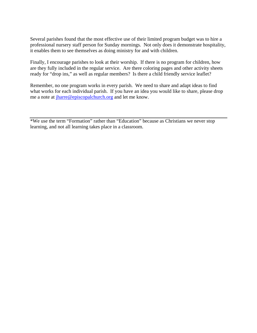Several parishes found that the most effective use of their limited program budget was to hire a professional nursery staff person for Sunday mornings. Not only does it demonstrate hospitality, it enables them to see themselves as doing ministry for and with children.

Finally, I encourage parishes to look at their worship. If there is no program for children, how are they fully included in the regular service. Are there coloring pages and other activity sheets ready for "drop ins," as well as regular members? Is there a child friendly service leaflet?

Remember, no one program works in every parish. We need to share and adapt ideas to find what works for each individual parish. If you have an idea you would like to share, please drop me a note at jharre@episcopalchurch.org and let me know.

<sup>\*</sup>We use the term "Formation" rather than "Education" because as Christians we never stop learning, and not all learning takes place in a classroom.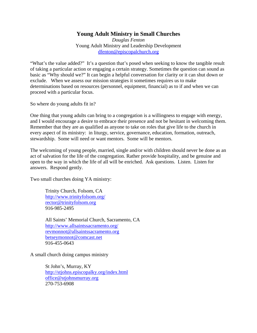## **Young Adult Ministry in Small Churches**

*Douglas Fenton*  Young Adult Ministry and Leadership Development dfenton@episcopalchurch.org

"What's the value added?" It's a question that's posed when seeking to know the tangible result of taking a particular action or engaging a certain strategy. Sometimes the question can sound as basic as "Why should we?" It can begin a helpful conversation for clarity or it can shut down or exclude. When we assess our mission strategies it sometimes requires us to make determinations based on resources (personnel, equipment, financial) as to if and when we can proceed with a particular focus.

So where do young adults fit in?

One thing that young adults can bring to a congregation is a willingness to engage with energy, and I would encourage a desire to embrace their presence and not be hesitant in welcoming them. Remember that they are as qualified as anyone to take on roles that give life to the church in every aspect of its ministry: in liturgy, service, governance, education, formation, outreach, stewardship. Some will need or want mentors. Some will be mentors.

The welcoming of young people, married, single and/or with children should never be done as an act of salvation for the life of the congregation. Rather provide hospitality, and be genuine and open to the way in which the life of all will be enriched. Ask questions. Listen. Listen for answers. Respond gently.

Two small churches doing YA ministry:

Trinity Church, Folsom, CA http://www.trinityfolsom.org/ rector@trinityfolsom.org 916-985-2495

All Saints' Memorial Church, Sacramento, CA http://www.allsaintssacramento.org/ revmonnot@allsaintssacramento.org betseymonnot@comcast.net 916-455-0643

A small church doing campus ministry

St John's, Murray, KY http://stjohns.episcopalky.org/index.html office@stjohnsmurray.org 270-753-6908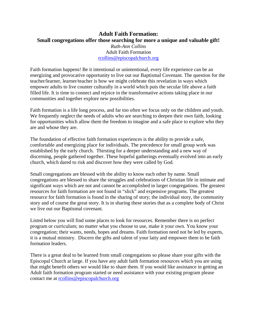## **Adult Faith Formation: Small congregations offer those searching for more a unique and valuable gift!**  *Ruth-Ann Collins*  Adult Faith Formation rcollins@episcopalchurch.org

Faith formation happens! Be it intentional or unintentional, every life experience can be an energizing and provocative opportunity to live out our Baptismal Covenant. The question for the teacher/learner, learner/teacher is how we might celebrate this revelation in ways which empower adults to live counter culturally in a world which puts the secular life above a faith filled life. It is time to connect and rejoice in the transformative actions taking place in our communities and together explore new possibilities.

Faith formation is a life long process, and far too often we focus only on the children and youth. We frequently neglect the needs of adults who are searching to deepen their own faith, looking for opportunities which allow them the freedom to imagine and a safe place to explore who they are and whose they are.

The foundation of effective faith formation experiences is the ability to provide a safe, comfortable and energizing place for individuals. The precedence for small group work was established by the early church. Thirsting for a deeper understanding and a new way of discerning, people gathered together. These hopeful gatherings eventually evolved into an early church, which dared to risk and discover how they were called by God.

Small congregations are blessed with the ability to know each other by name. Small congregations are blessed to share the struggles and celebrations of Christian life in intimate and significant ways which are not and cannot be accomplished in larger congregations. The greatest resources for faith formation are not found in "slick" and expensive programs. The greatest resource for faith formation is found in the sharing of story; the individual story, the community story and of course the great story. It is in sharing these stories that as a complete body of Christ we live out our Baptismal covenant.

Listed below you will find some places to look for resources. Remember there is no perfect program or curriculum; no matter what you choose to use, make it your own. You know your congregation; their wants, needs, hopes and dreams. Faith formation need not be led by experts, it is a mutual ministry. Discern the gifts and talent of your laity and empower them to be faith formation leaders.

There is a great deal to be learned from small congregations so please share your gifts with the Episcopal Church at large. If you have any adult faith formation resources which you are using that might benefit others we would like to share them. If you would like assistance in getting an Adult faith formation program started or need assistance with your existing program please contact me at rcollins@episcopalchurch.org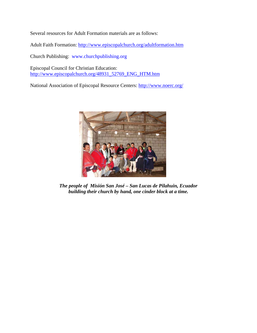Several resources for Adult Formation materials are as follows:

Adult Faith Formation: http://www.episcopalchurch.org/adultformation.htm

Church Publishing: www.churchpublishing.org

Episcopal Council for Christian Education: http://www.episcopalchurch.org/48931\_52769\_ENG\_HTM.htm

National Association of Episcopal Resource Centers: http://www.noerc.org/



*The people of Misión San José – San Lucas de Pilahuin, Ecuador building their church by hand, one cinder block at a time.*